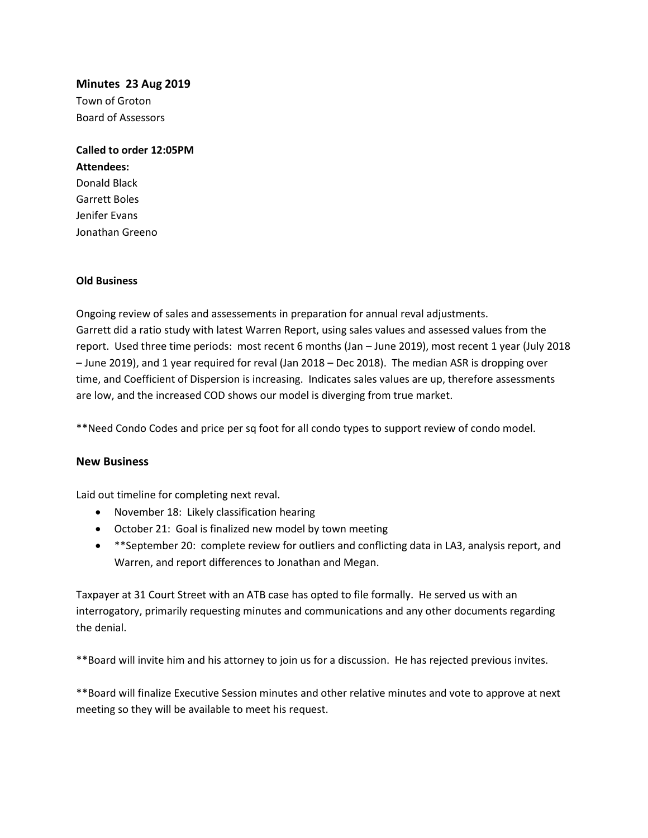## **Minutes 23 Aug 2019**

Town of Groton Board of Assessors

**Called to order 12:05PM Attendees:** Donald Black Garrett Boles Jenifer Evans

## **Old Business**

Jonathan Greeno

Ongoing review of sales and assessements in preparation for annual reval adjustments. Garrett did a ratio study with latest Warren Report, using sales values and assessed values from the report. Used three time periods: most recent 6 months (Jan – June 2019), most recent 1 year (July 2018 – June 2019), and 1 year required for reval (Jan 2018 – Dec 2018). The median ASR is dropping over time, and Coefficient of Dispersion is increasing. Indicates sales values are up, therefore assessments are low, and the increased COD shows our model is diverging from true market.

\*\*Need Condo Codes and price per sq foot for all condo types to support review of condo model.

## **New Business**

Laid out timeline for completing next reval.

- November 18: Likely classification hearing
- October 21: Goal is finalized new model by town meeting
- \*\*September 20: complete review for outliers and conflicting data in LA3, analysis report, and Warren, and report differences to Jonathan and Megan.

Taxpayer at 31 Court Street with an ATB case has opted to file formally. He served us with an interrogatory, primarily requesting minutes and communications and any other documents regarding the denial.

\*\*Board will invite him and his attorney to join us for a discussion. He has rejected previous invites.

\*\*Board will finalize Executive Session minutes and other relative minutes and vote to approve at next meeting so they will be available to meet his request.